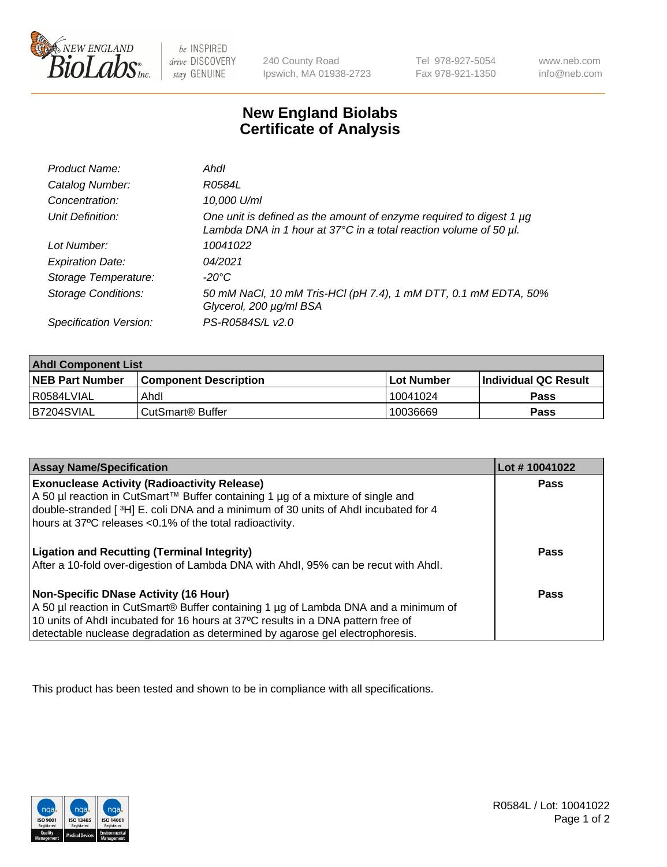

be INSPIRED drive DISCOVERY stay GENUINE

240 County Road Ipswich, MA 01938-2723 Tel 978-927-5054 Fax 978-921-1350

www.neb.com info@neb.com

## **New England Biolabs Certificate of Analysis**

| Product Name:              | Ahdl                                                                                                                                     |
|----------------------------|------------------------------------------------------------------------------------------------------------------------------------------|
| Catalog Number:            | R0584L                                                                                                                                   |
| Concentration:             | 10,000 U/ml                                                                                                                              |
| Unit Definition:           | One unit is defined as the amount of enzyme required to digest 1 µg<br>Lambda DNA in 1 hour at 37°C in a total reaction volume of 50 µl. |
| Lot Number:                | 10041022                                                                                                                                 |
| <b>Expiration Date:</b>    | 04/2021                                                                                                                                  |
| Storage Temperature:       | -20°C                                                                                                                                    |
| <b>Storage Conditions:</b> | 50 mM NaCl, 10 mM Tris-HCl (pH 7.4), 1 mM DTT, 0.1 mM EDTA, 50%<br>Glycerol, 200 µg/ml BSA                                               |
| Specification Version:     | PS-R0584S/L v2.0                                                                                                                         |

| <b>Ahdl Component List</b> |                              |            |                             |  |
|----------------------------|------------------------------|------------|-----------------------------|--|
| <b>NEB Part Number</b>     | <b>Component Description</b> | Lot Number | <b>Individual QC Result</b> |  |
| l R0584LVIAL               | Ahdl                         | 10041024   | Pass                        |  |
| B7204SVIAL                 | CutSmart <sup>®</sup> Buffer | 10036669   | Pass                        |  |

| <b>Assay Name/Specification</b>                                                                                                                                       | Lot #10041022 |
|-----------------------------------------------------------------------------------------------------------------------------------------------------------------------|---------------|
| <b>Exonuclease Activity (Radioactivity Release)</b>                                                                                                                   | <b>Pass</b>   |
| A 50 µl reaction in CutSmart™ Buffer containing 1 µg of a mixture of single and<br>double-stranded [3H] E. coli DNA and a minimum of 30 units of Ahdl incubated for 4 |               |
| hours at 37°C releases <0.1% of the total radioactivity.                                                                                                              |               |
| <b>Ligation and Recutting (Terminal Integrity)</b>                                                                                                                    | <b>Pass</b>   |
| After a 10-fold over-digestion of Lambda DNA with Ahdl, 95% can be recut with Ahdl.                                                                                   |               |
| Non-Specific DNase Activity (16 Hour)                                                                                                                                 | <b>Pass</b>   |
| A 50 µl reaction in CutSmart® Buffer containing 1 µg of Lambda DNA and a minimum of                                                                                   |               |
| 10 units of Ahdl incubated for 16 hours at 37°C results in a DNA pattern free of<br>detectable nuclease degradation as determined by agarose gel electrophoresis.     |               |

This product has been tested and shown to be in compliance with all specifications.